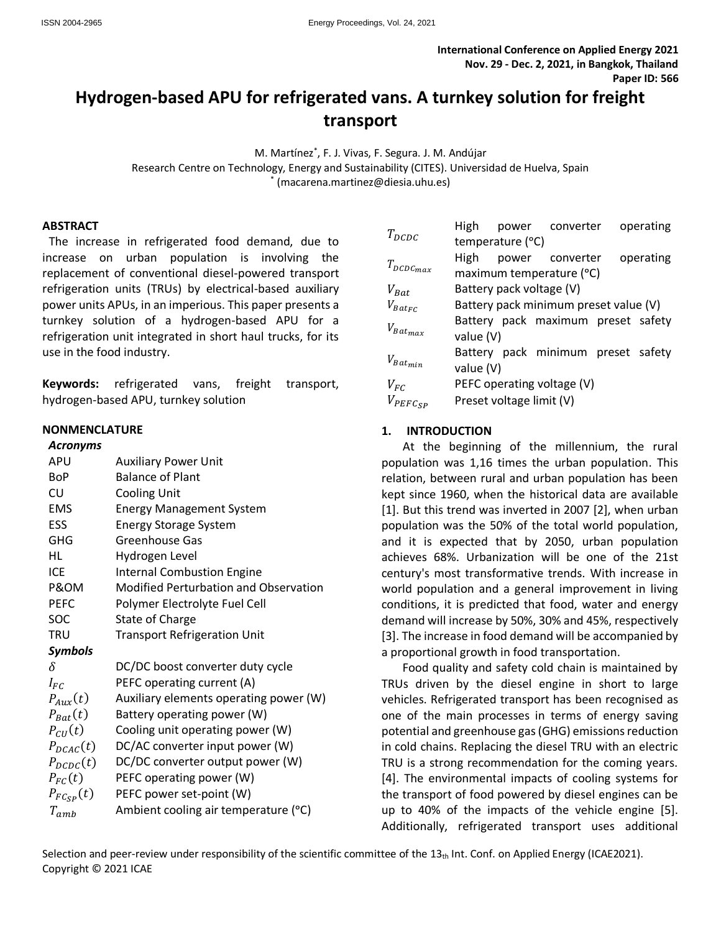# **Hydrogen-based APU for refrigerated vans. A turnkey solution for freight transport**

M. Martínez\* , F. J. Vivas, F. Segura. J. M. Andújar Research Centre on Technology, Energy and Sustainability (CITES). Universidad de Huelva, Spain \* (macarena.martinez@diesia.uhu.es)

#### **ABSTRACT**

The increase in refrigerated food demand, due to increase on urban population is involving the replacement of conventional diesel-powered transport refrigeration units (TRUs) by electrical-based auxiliary power units APUs, in an imperious. This paper presents a turnkey solution of a hydrogen-based APU for a refrigeration unit integrated in short haul trucks, for its use in the food industry.

**Keywords:** refrigerated vans, freight transport, hydrogen-based APU, turnkey solution

### **NONMENCLATURE**

| <b>Auxiliary Power Unit</b>                  |
|----------------------------------------------|
| <b>Balance of Plant</b>                      |
| <b>Cooling Unit</b>                          |
| <b>Energy Management System</b>              |
| <b>Energy Storage System</b>                 |
| Greenhouse Gas                               |
| Hydrogen Level                               |
| <b>Internal Combustion Engine</b>            |
| <b>Modified Perturbation and Observation</b> |
| Polymer Electrolyte Fuel Cell                |
| <b>State of Charge</b>                       |
| <b>Transport Refrigeration Unit</b>          |
|                                              |
| DC/DC boost converter duty cycle             |
| PEFC operating current (A)                   |
| Auxiliary elements operating power (W)       |
| Battery operating power (W)                  |
| Cooling unit operating power (W)             |
| DC/AC converter input power (W)              |
| DC/DC converter output power (W)             |
| PEFC operating power (W)                     |
| PEFC power set-point (W)                     |
| Ambient cooling air temperature (°C)         |
|                                              |

| $T_{DCDC}$      | High                                  |  | power converter                    |  | operating |
|-----------------|---------------------------------------|--|------------------------------------|--|-----------|
|                 | temperature (°C)                      |  |                                    |  |           |
| $T_{DCDCmax}$   | High                                  |  | power converter                    |  | operating |
|                 | maximum temperature (°C)              |  |                                    |  |           |
| $V_{Bat}$       | Battery pack voltage (V)              |  |                                    |  |           |
| $V_{Bate_{FC}}$ | Battery pack minimum preset value (V) |  |                                    |  |           |
| $V_{Rat_{max}}$ |                                       |  | Battery pack maximum preset safety |  |           |
|                 | value (V)                             |  |                                    |  |           |
| $V_{Bat_{min}}$ |                                       |  | Battery pack minimum preset safety |  |           |
|                 | value (V)                             |  |                                    |  |           |
| $V_{FC}$        | PEFC operating voltage (V)            |  |                                    |  |           |
| $V_{PEFC_{SP}}$ | Preset voltage limit (V)              |  |                                    |  |           |

## **1. INTRODUCTION**

At the beginning of the millennium, the rural population was 1,16 times the urban population. This relation, between rural and urban population has been kept since 1960, when the historical data are available [1]. But this trend was inverted in 2007 [2], when urban population was the 50% of the total world population, and it is expected that by 2050, urban population achieves 68%. Urbanization will be one of the 21st century's most transformative trends. With increase in world population and a general improvement in living conditions, it is predicted that food, water and energy demand will increase by 50%, 30% and 45%, respectively [3]. The increase in food demand will be accompanied by a proportional growth in food transportation.

Food quality and safety cold chain is maintained by TRUs driven by the diesel engine in short to large vehicles. Refrigerated transport has been recognised as one of the main processes in terms of energy saving potential and greenhouse gas (GHG) emissions reduction in cold chains. Replacing the diesel TRU with an electric TRU is a strong recommendation for the coming years. [4]. The environmental impacts of cooling systems for the transport of food powered by diesel engines can be up to 40% of the impacts of the vehicle engine [5]. Additionally, refrigerated transport uses additional

Selection and peer-review under responsibility of the scientific committee of the  $13<sub>th</sub>$  Int. Conf. on Applied Energy (ICAE2021). Copyright © 2021 ICAE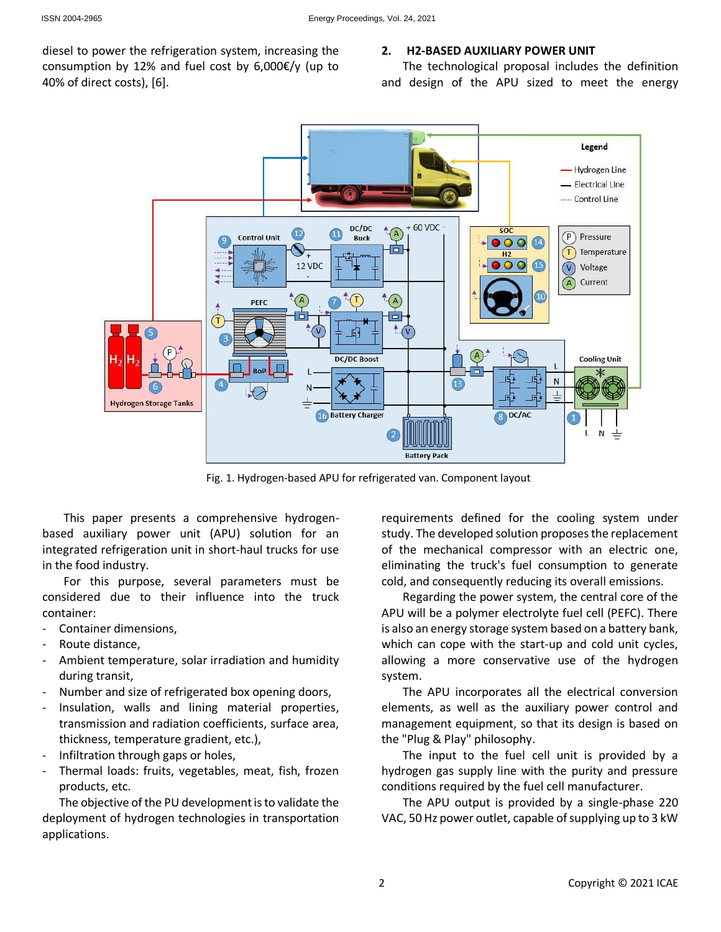diesel to power the refrigeration system, increasing the consumption by 12% and fuel cost by 6,000€/y (up to 40% of direct costs), [6].

### **2. H2-BASED AUXILIARY POWER UNIT**

The technological proposal includes the definition and design of the APU sized to meet the energy



Fig. 1. Hydrogen-based APU for refrigerated van. Component layout

This paper presents a comprehensive hydrogenbased auxiliary power unit (APU) solution for an integrated refrigeration unit in short-haul trucks for use in the food industry.

For this purpose, several parameters must be considered due to their influence into the truck container:

- Container dimensions,
- Route distance.
- Ambient temperature, solar irradiation and humidity during transit,
- Number and size of refrigerated box opening doors,
- Insulation, walls and lining material properties, transmission and radiation coefficients, surface area, thickness, temperature gradient, etc.),
- Infiltration through gaps or holes,
- Thermal loads: fruits, vegetables, meat, fish, frozen products, etc.

The objective of the PU development is to validate the deployment of hydrogen technologies in transportation applications.

requirements defined for the cooling system under study. The developed solution proposes the replacement of the mechanical compressor with an electric one, eliminating the truck's fuel consumption to generate cold, and consequently reducing its overall emissions.

Regarding the power system, the central core of the APU will be a polymer electrolyte fuel cell (PEFC). There is also an energy storage system based on a battery bank, which can cope with the start-up and cold unit cycles, allowing a more conservative use of the hydrogen system.

The APU incorporates all the electrical conversion elements, as well as the auxiliary power control and management equipment, so that its design is based on the "Plug & Play" philosophy.

The input to the fuel cell unit is provided by a hydrogen gas supply line with the purity and pressure conditions required by the fuel cell manufacturer.

The APU output is provided by a single-phase 220 VAC, 50 Hz power outlet, capable of supplying up to 3 kW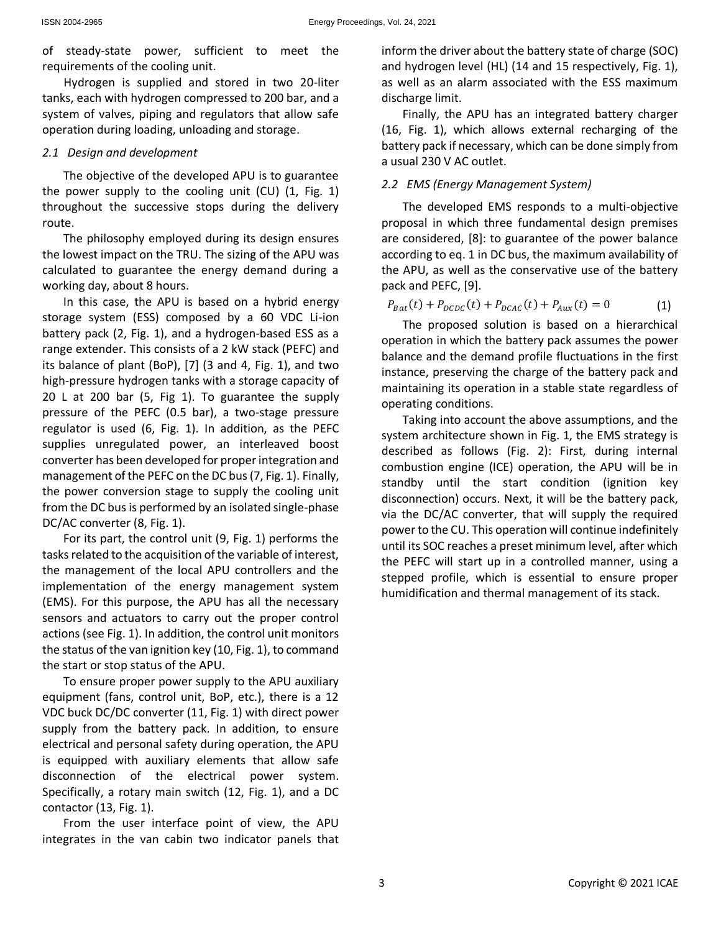of steady-state power, sufficient to meet the requirements of the cooling unit.

Hydrogen is supplied and stored in two 20-liter tanks, each with hydrogen compressed to 200 bar, and a system of valves, piping and regulators that allow safe operation during loading, unloading and storage.

## *2.1 Design and development*

The objective of the developed APU is to guarantee the power supply to the cooling unit (CU) (1, Fig. 1) throughout the successive stops during the delivery route.

The philosophy employed during its design ensures the lowest impact on the TRU. The sizing of the APU was calculated to guarantee the energy demand during a working day, about 8 hours.

In this case, the APU is based on a hybrid energy storage system (ESS) composed by a 60 VDC Li-ion battery pack (2, Fig. 1), and a hydrogen-based ESS as a range extender. This consists of a 2 kW stack (PEFC) and its balance of plant (BoP), [7] (3 and 4, Fig. 1), and two high-pressure hydrogen tanks with a storage capacity of 20 L at 200 bar (5, Fig 1). To guarantee the supply pressure of the PEFC (0.5 bar), a two-stage pressure regulator is used (6, Fig. 1). In addition, as the PEFC supplies unregulated power, an interleaved boost converter has been developed for proper integration and management of the PEFC on the DC bus (7, Fig. 1). Finally, the power conversion stage to supply the cooling unit from the DC bus is performed by an isolated single-phase DC/AC converter (8, Fig. 1).

For its part, the control unit (9, Fig. 1) performs the tasks related to the acquisition of the variable of interest, the management of the local APU controllers and the implementation of the energy management system (EMS). For this purpose, the APU has all the necessary sensors and actuators to carry out the proper control actions (see Fig. 1). In addition, the control unit monitors the status of the van ignition key (10, Fig. 1), to command the start or stop status of the APU.

To ensure proper power supply to the APU auxiliary equipment (fans, control unit, BoP, etc.), there is a 12 VDC buck DC/DC converter (11, Fig. 1) with direct power supply from the battery pack. In addition, to ensure electrical and personal safety during operation, the APU is equipped with auxiliary elements that allow safe disconnection of the electrical power system. Specifically, a rotary main switch (12, Fig. 1), and a DC contactor (13, Fig. 1).

From the user interface point of view, the APU integrates in the van cabin two indicator panels that inform the driver about the battery state of charge (SOC) and hydrogen level (HL) (14 and 15 respectively, Fig. 1), as well as an alarm associated with the ESS maximum discharge limit.

Finally, the APU has an integrated battery charger (16, Fig. 1), which allows external recharging of the battery pack if necessary, which can be done simply from a usual 230 V AC outlet.

# *2.2 EMS (Energy Management System)*

The developed EMS responds to a multi-objective proposal in which three fundamental design premises are considered, [8]: to guarantee of the power balance according to eq. 1 in DC bus, the maximum availability of the APU, as well as the conservative use of the battery pack and PEFC, [9].

$$
P_{Bat}(t) + P_{DCDC}(t) + P_{DCAC}(t) + P_{Aux}(t) = 0
$$
 (1)

The proposed solution is based on a hierarchical operation in which the battery pack assumes the power balance and the demand profile fluctuations in the first instance, preserving the charge of the battery pack and maintaining its operation in a stable state regardless of operating conditions.

Taking into account the above assumptions, and the system architecture shown in Fig. 1, the EMS strategy is described as follows (Fig. 2): First, during internal combustion engine (ICE) operation, the APU will be in standby until the start condition (ignition key disconnection) occurs. Next, it will be the battery pack, via the DC/AC converter, that will supply the required power to the CU. This operation will continue indefinitely until its SOC reaches a preset minimum level, after which the PEFC will start up in a controlled manner, using a stepped profile, which is essential to ensure proper humidification and thermal management of its stack.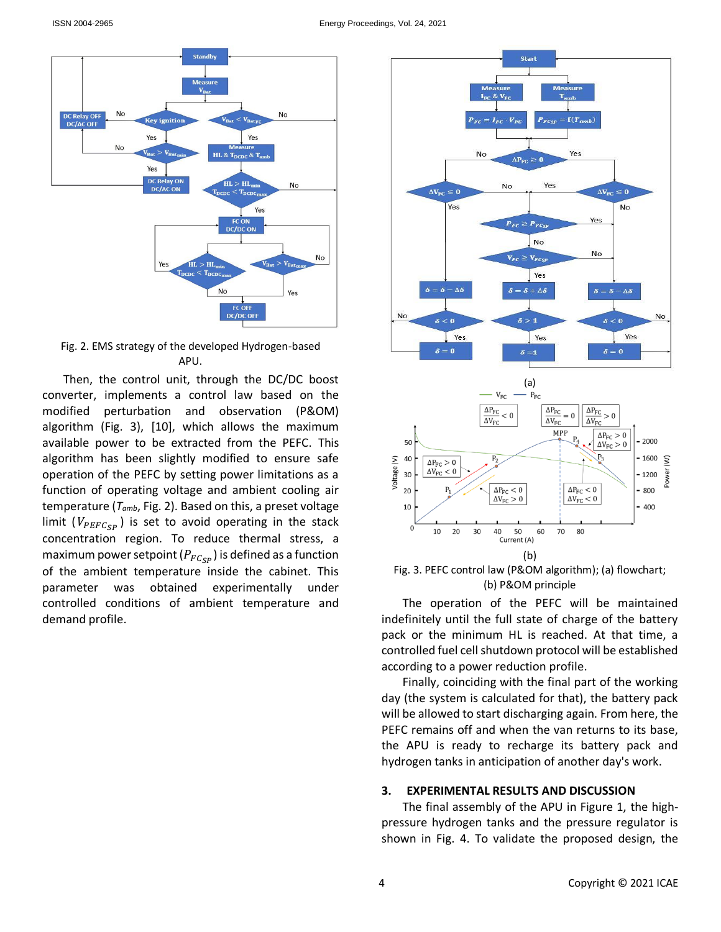

Fig. 2. EMS strategy of the developed Hydrogen-based APU.

Then, the control unit, through the DC/DC boost converter, implements a control law based on the modified perturbation and observation (P&OM) algorithm (Fig. 3), [10], which allows the maximum available power to be extracted from the PEFC. This algorithm has been slightly modified to ensure safe operation of the PEFC by setting power limitations as a function of operating voltage and ambient cooling air temperature (*Tamb*, Fig. 2). Based on this, a preset voltage limit ( $V_{PEFC_{SP}}$ ) is set to avoid operating in the stack concentration region. To reduce thermal stress, a maximum power setpoint ( $P_{FC_{SP}}$ ) is defined as a function of the ambient temperature inside the cabinet. This parameter was obtained experimentally under controlled conditions of ambient temperature and demand profile.







The operation of the PEFC will be maintained indefinitely until the full state of charge of the battery pack or the minimum HL is reached. At that time, a controlled fuel cell shutdown protocol will be established according to a power reduction profile.

Finally, coinciding with the final part of the working day (the system is calculated for that), the battery pack will be allowed to start discharging again. From here, the PEFC remains off and when the van returns to its base, the APU is ready to recharge its battery pack and hydrogen tanks in anticipation of another day's work.

## **3. EXPERIMENTAL RESULTS AND DISCUSSION**

The final assembly of the APU in Figure 1, the highpressure hydrogen tanks and the pressure regulator is shown in Fig. 4. To validate the proposed design, the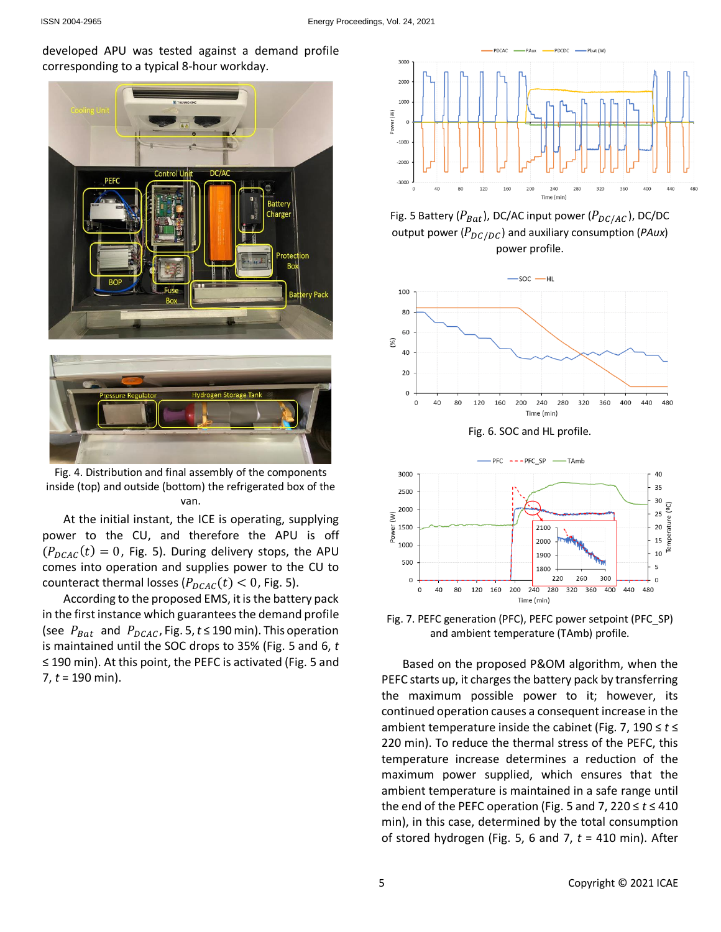developed APU was tested against a demand profile corresponding to a typical 8-hour workday.





Fig. 4. Distribution and final assembly of the components inside (top) and outside (bottom) the refrigerated box of the van.

At the initial instant, the ICE is operating, supplying power to the CU, and therefore the APU is off  $(P_{DCAC}(t) = 0$ , Fig. 5). During delivery stops, the APU comes into operation and supplies power to the CU to counteract thermal losses ( $P_{DCAC}(t)$  < 0, Fig. 5).

According to the proposed EMS, it is the battery pack in the first instance which guarantees the demand profile (see  $P_{Bat}$  and  $P_{DCAC}$ , Fig. 5,  $t \le 190$  min). This operation is maintained until the SOC drops to 35% (Fig. 5 and 6, *t* ≤ 190 min). At this point, the PEFC is activated (Fig. 5 and 7, *t* = 190 min).



Fig. 5 Battery ( $P_{Bat}$ ), DC/AC input power ( $P_{DC/AC}$ ), DC/DC output power ( $P_{DC/DC}$ ) and auxiliary consumption (*PAux*) power profile.



Fig. 6. SOC and HL profile.



Fig. 7. PEFC generation (PFC), PEFC power setpoint (PFC\_SP) and ambient temperature (TAmb) profile.

Based on the proposed P&OM algorithm, when the PEFC starts up, it charges the battery pack by transferring the maximum possible power to it; however, its continued operation causes a consequent increase in the ambient temperature inside the cabinet (Fig. 7, 190 ≤ *t* ≤ 220 min). To reduce the thermal stress of the PEFC, this temperature increase determines a reduction of the maximum power supplied, which ensures that the ambient temperature is maintained in a safe range until the end of the PEFC operation (Fig. 5 and 7,  $220 \le t \le 410$ min), in this case, determined by the total consumption of stored hydrogen (Fig. 5, 6 and 7, *t* = 410 min). After